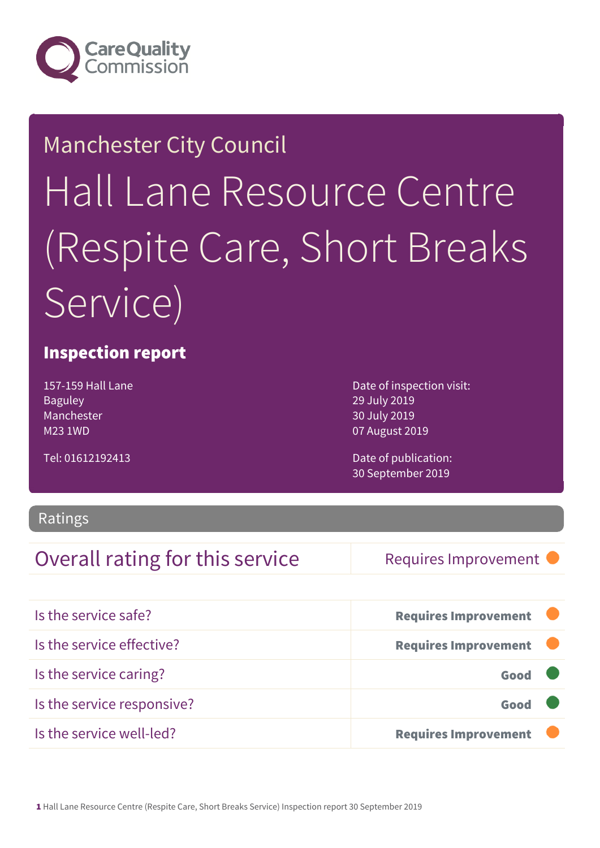

### Manchester City Council

# Hall Lane Resource Centre (Respite Care, Short Breaks Service)

### Inspection report

157-159 Hall Lane Baguley Manchester M23 1WD

Tel: 01612192413

Date of inspection visit: 29 July 2019 30 July 2019 07 August 2019

Date of publication: 30 September 2019

### Ratings

### Overall rating for this service Requires Improvement

| Is the service safe?       | <b>Requires Improvement</b> |
|----------------------------|-----------------------------|
| Is the service effective?  | <b>Requires Improvement</b> |
| Is the service caring?     | Good                        |
| Is the service responsive? | Good                        |
| Is the service well-led?   | <b>Requires Improvement</b> |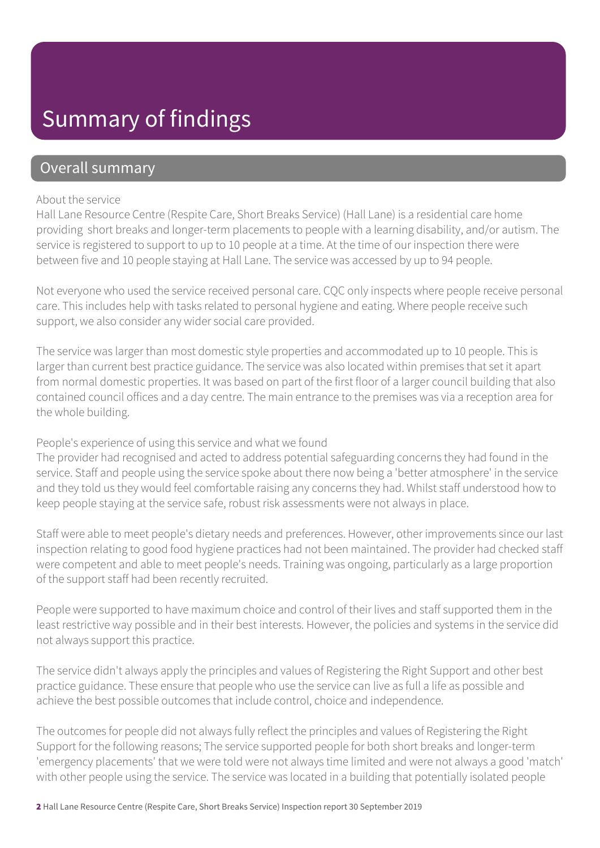## Summary of findings

### Overall summary

#### About the service

Hall Lane Resource Centre (Respite Care, Short Breaks Service) (Hall Lane) is a residential care home providing short breaks and longer-term placements to people with a learning disability, and/or autism. The service is registered to support to up to 10 people at a time. At the time of our inspection there were between five and 10 people staying at Hall Lane. The service was accessed by up to 94 people.

Not everyone who used the service received personal care. CQC only inspects where people receive personal care. This includes help with tasks related to personal hygiene and eating. Where people receive such support, we also consider any wider social care provided.

The service was larger than most domestic style properties and accommodated up to 10 people. This is larger than current best practice guidance. The service was also located within premises that set it apart from normal domestic properties. It was based on part of the first floor of a larger council building that also contained council offices and a day centre. The main entrance to the premises was via a reception area for the whole building.

#### People's experience of using this service and what we found

The provider had recognised and acted to address potential safeguarding concerns they had found in the service. Staff and people using the service spoke about there now being a 'better atmosphere' in the service and they told us they would feel comfortable raising any concerns they had. Whilst staff understood how to keep people staying at the service safe, robust risk assessments were not always in place.

Staff were able to meet people's dietary needs and preferences. However, other improvements since our last inspection relating to good food hygiene practices had not been maintained. The provider had checked staff were competent and able to meet people's needs. Training was ongoing, particularly as a large proportion of the support staff had been recently recruited.

People were supported to have maximum choice and control of their lives and staff supported them in the least restrictive way possible and in their best interests. However, the policies and systems in the service did not always support this practice.

The service didn't always apply the principles and values of Registering the Right Support and other best practice guidance. These ensure that people who use the service can live as full a life as possible and achieve the best possible outcomes that include control, choice and independence.

The outcomes for people did not always fully reflect the principles and values of Registering the Right Support for the following reasons; The service supported people for both short breaks and longer-term 'emergency placements' that we were told were not always time limited and were not always a good 'match' with other people using the service. The service was located in a building that potentially isolated people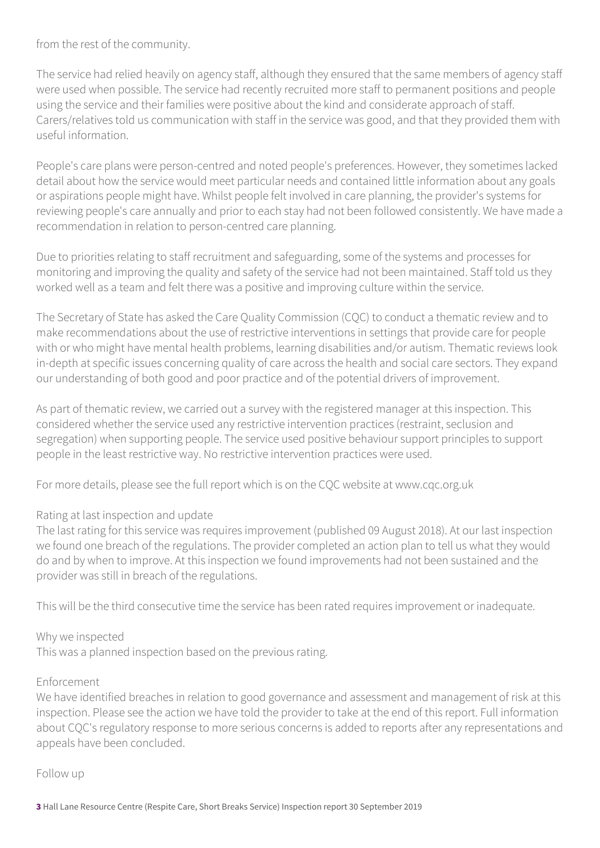from the rest of the community.

The service had relied heavily on agency staff, although they ensured that the same members of agency staff were used when possible. The service had recently recruited more staff to permanent positions and people using the service and their families were positive about the kind and considerate approach of staff. Carers/relatives told us communication with staff in the service was good, and that they provided them with useful information.

People's care plans were person-centred and noted people's preferences. However, they sometimes lacked detail about how the service would meet particular needs and contained little information about any goals or aspirations people might have. Whilst people felt involved in care planning, the provider's systems for reviewing people's care annually and prior to each stay had not been followed consistently. We have made a recommendation in relation to person-centred care planning.

Due to priorities relating to staff recruitment and safeguarding, some of the systems and processes for monitoring and improving the quality and safety of the service had not been maintained. Staff told us they worked well as a team and felt there was a positive and improving culture within the service.

The Secretary of State has asked the Care Quality Commission (CQC) to conduct a thematic review and to make recommendations about the use of restrictive interventions in settings that provide care for people with or who might have mental health problems, learning disabilities and/or autism. Thematic reviews look in-depth at specific issues concerning quality of care across the health and social care sectors. They expand our understanding of both good and poor practice and of the potential drivers of improvement.

As part of thematic review, we carried out a survey with the registered manager at this inspection. This considered whether the service used any restrictive intervention practices (restraint, seclusion and segregation) when supporting people. The service used positive behaviour support principles to support people in the least restrictive way. No restrictive intervention practices were used.

For more details, please see the full report which is on the CQC website at www.cqc.org.uk

#### Rating at last inspection and update

The last rating for this service was requires improvement (published 09 August 2018). At our last inspection we found one breach of the regulations. The provider completed an action plan to tell us what they would do and by when to improve. At this inspection we found improvements had not been sustained and the provider was still in breach of the regulations.

This will be the third consecutive time the service has been rated requires improvement or inadequate.

#### Why we inspected

This was a planned inspection based on the previous rating.

#### Enforcement

We have identified breaches in relation to good governance and assessment and management of risk at this inspection. Please see the action we have told the provider to take at the end of this report. Full information about CQC's regulatory response to more serious concerns is added to reports after any representations and appeals have been concluded.

Follow up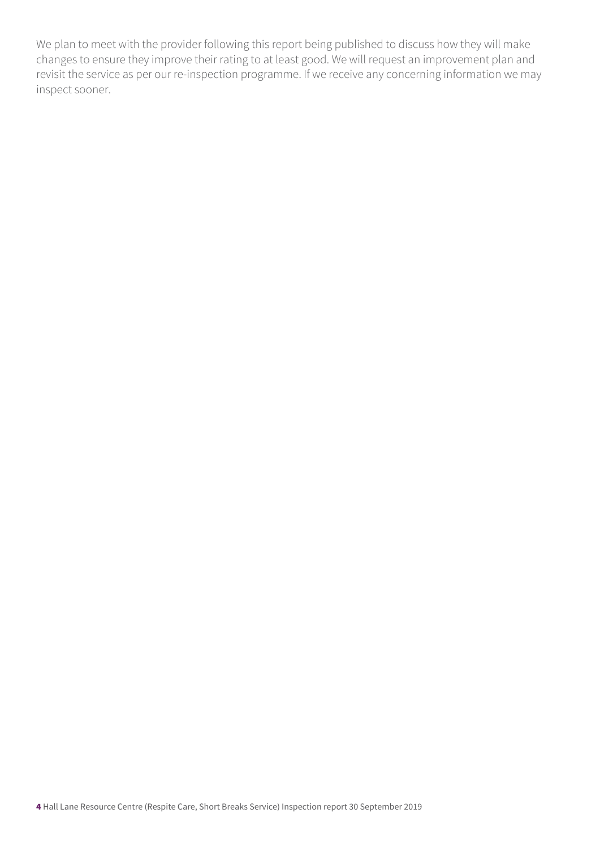We plan to meet with the provider following this report being published to discuss how they will make changes to ensure they improve their rating to at least good. We will request an improvement plan and revisit the service as per our re-inspection programme. If we receive any concerning information we may inspect sooner.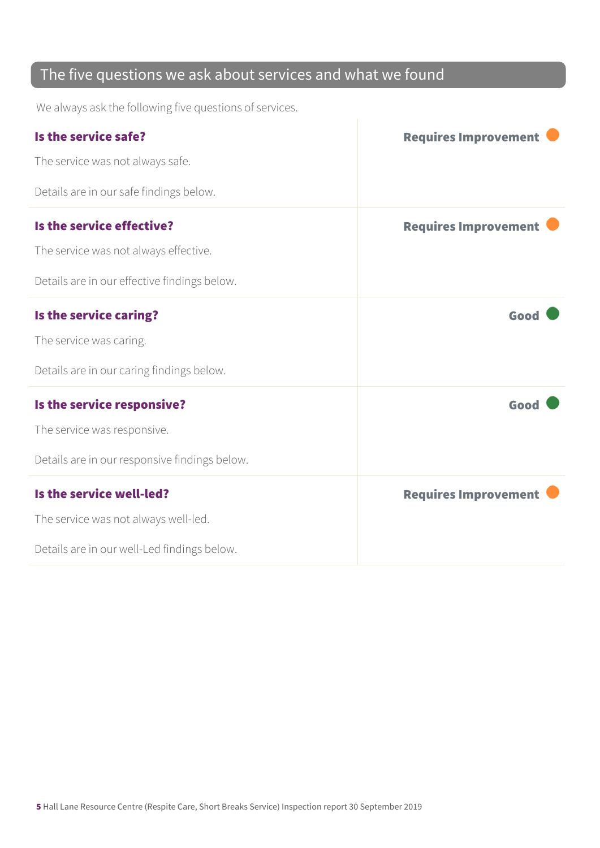### The five questions we ask about services and what we found

We always ask the following five questions of services.

| Is the service safe?                          | <b>Requires Improvement</b> |
|-----------------------------------------------|-----------------------------|
| The service was not always safe.              |                             |
| Details are in our safe findings below.       |                             |
| Is the service effective?                     | <b>Requires Improvement</b> |
| The service was not always effective.         |                             |
| Details are in our effective findings below.  |                             |
| Is the service caring?                        | Good                        |
| The service was caring.                       |                             |
| Details are in our caring findings below.     |                             |
| Is the service responsive?                    | Good                        |
| The service was responsive.                   |                             |
| Details are in our responsive findings below. |                             |
| Is the service well-led?                      | <b>Requires Improvement</b> |
| The service was not always well-led.          |                             |
| Details are in our well-Led findings below.   |                             |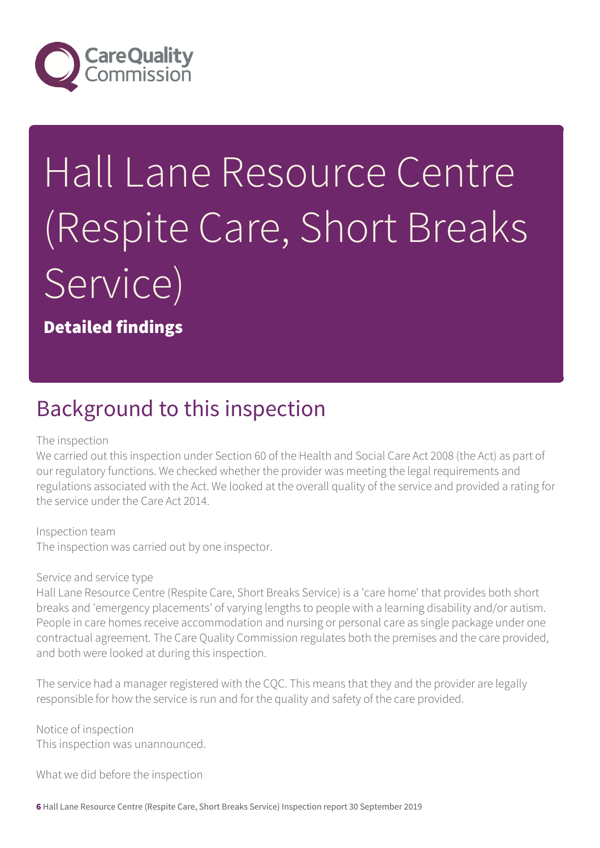

# Hall Lane Resource Centre (Respite Care, Short Breaks Service)

Detailed findings

### Background to this inspection

#### The inspection

We carried out this inspection under Section 60 of the Health and Social Care Act 2008 (the Act) as part of our regulatory functions. We checked whether the provider was meeting the legal requirements and regulations associated with the Act. We looked at the overall quality of the service and provided a rating for the service under the Care Act 2014.

Inspection team

The inspection was carried out by one inspector.

#### Service and service type

Hall Lane Resource Centre (Respite Care, Short Breaks Service) is a 'care home' that provides both short breaks and 'emergency placements' of varying lengths to people with a learning disability and/or autism. People in care homes receive accommodation and nursing or personal care as single package under one contractual agreement. The Care Quality Commission regulates both the premises and the care provided, and both were looked at during this inspection.

The service had a manager registered with the CQC. This means that they and the provider are legally responsible for how the service is run and for the quality and safety of the care provided.

Notice of inspection This inspection was unannounced.

What we did before the inspection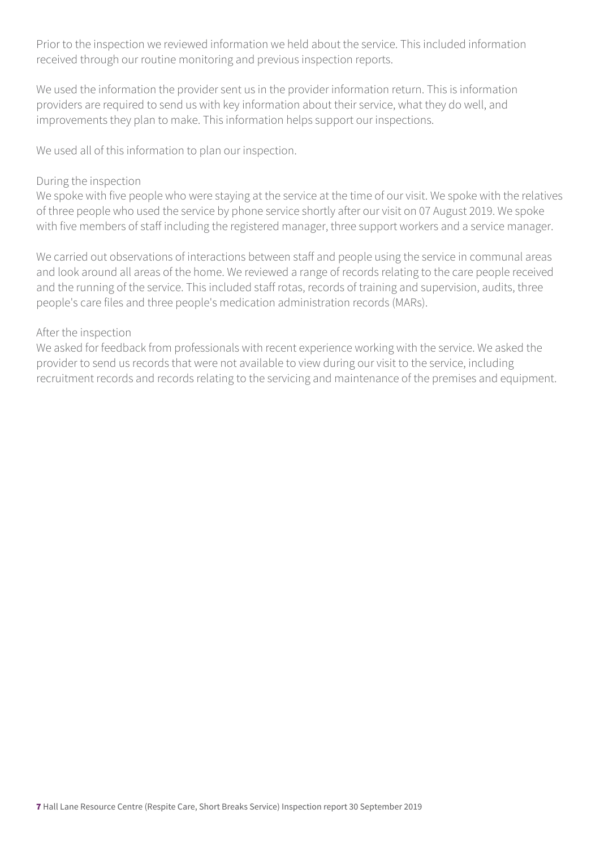Prior to the inspection we reviewed information we held about the service. This included information received through our routine monitoring and previous inspection reports.

We used the information the provider sent us in the provider information return. This is information providers are required to send us with key information about their service, what they do well, and improvements they plan to make. This information helps support our inspections.

We used all of this information to plan our inspection.

#### During the inspection

We spoke with five people who were staying at the service at the time of our visit. We spoke with the relatives of three people who used the service by phone service shortly after our visit on 07 August 2019. We spoke with five members of staff including the registered manager, three support workers and a service manager.

We carried out observations of interactions between staff and people using the service in communal areas and look around all areas of the home. We reviewed a range of records relating to the care people received and the running of the service. This included staff rotas, records of training and supervision, audits, three people's care files and three people's medication administration records (MARs).

#### After the inspection

We asked for feedback from professionals with recent experience working with the service. We asked the provider to send us records that were not available to view during our visit to the service, including recruitment records and records relating to the servicing and maintenance of the premises and equipment.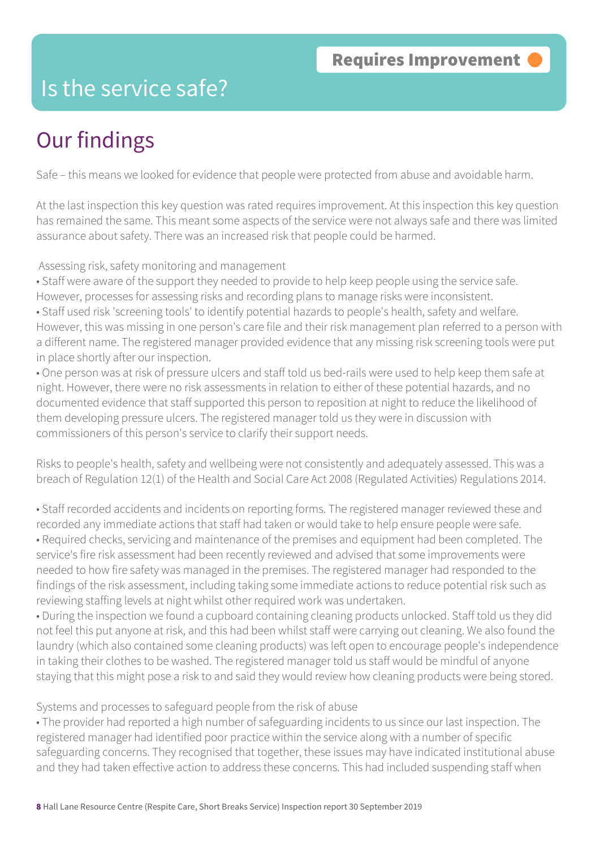### Is the service safe?

# Our findings

Safe – this means we looked for evidence that people were protected from abuse and avoidable harm.

At the last inspection this key question was rated requires improvement. At this inspection this key question has remained the same. This meant some aspects of the service were not always safe and there was limited assurance about safety. There was an increased risk that people could be harmed.

Assessing risk, safety monitoring and management

• Staff were aware of the support they needed to provide to help keep people using the service safe. However, processes for assessing risks and recording plans to manage risks were inconsistent.

• Staff used risk 'screening tools' to identify potential hazards to people's health, safety and welfare. However, this was missing in one person's care file and their risk management plan referred to a person with a different name. The registered manager provided evidence that any missing risk screening tools were put in place shortly after our inspection.

• One person was at risk of pressure ulcers and staff told us bed-rails were used to help keep them safe at night. However, there were no risk assessments in relation to either of these potential hazards, and no documented evidence that staff supported this person to reposition at night to reduce the likelihood of them developing pressure ulcers. The registered manager told us they were in discussion with commissioners of this person's service to clarify their support needs.

Risks to people's health, safety and wellbeing were not consistently and adequately assessed. This was a breach of Regulation 12(1) of the Health and Social Care Act 2008 (Regulated Activities) Regulations 2014.

• Staff recorded accidents and incidents on reporting forms. The registered manager reviewed these and recorded any immediate actions that staff had taken or would take to help ensure people were safe.

• Required checks, servicing and maintenance of the premises and equipment had been completed. The service's fire risk assessment had been recently reviewed and advised that some improvements were needed to how fire safety was managed in the premises. The registered manager had responded to the findings of the risk assessment, including taking some immediate actions to reduce potential risk such as reviewing staffing levels at night whilst other required work was undertaken.

• During the inspection we found a cupboard containing cleaning products unlocked. Staff told us they did not feel this put anyone at risk, and this had been whilst staff were carrying out cleaning. We also found the laundry (which also contained some cleaning products) was left open to encourage people's independence in taking their clothes to be washed. The registered manager told us staff would be mindful of anyone staying that this might pose a risk to and said they would review how cleaning products were being stored.

#### Systems and processes to safeguard people from the risk of abuse

• The provider had reported a high number of safeguarding incidents to us since our last inspection. The registered manager had identified poor practice within the service along with a number of specific safeguarding concerns. They recognised that together, these issues may have indicated institutional abuse and they had taken effective action to address these concerns. This had included suspending staff when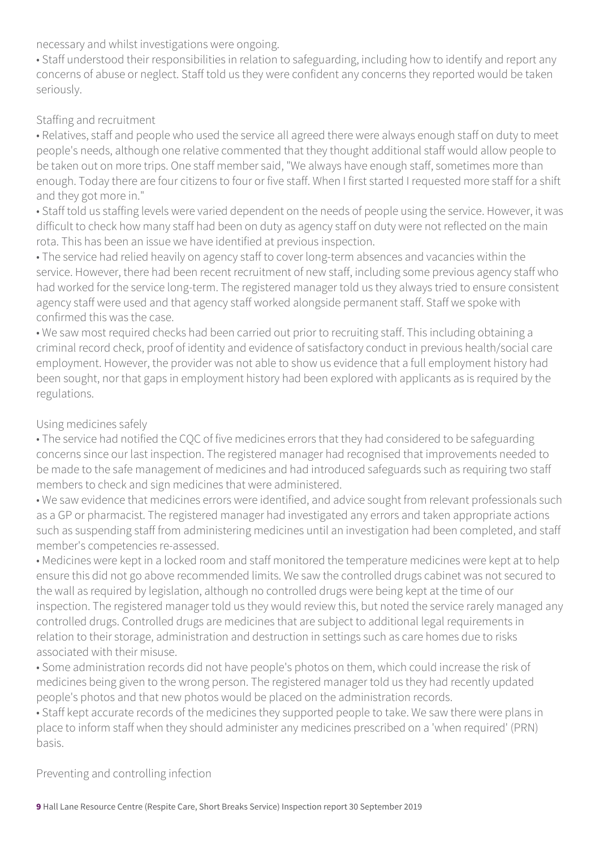necessary and whilst investigations were ongoing.

• Staff understood their responsibilities in relation to safeguarding, including how to identify and report any concerns of abuse or neglect. Staff told us they were confident any concerns they reported would be taken seriously.

#### Staffing and recruitment

• Relatives, staff and people who used the service all agreed there were always enough staff on duty to meet people's needs, although one relative commented that they thought additional staff would allow people to be taken out on more trips. One staff member said, "We always have enough staff, sometimes more than enough. Today there are four citizens to four or five staff. When I first started I requested more staff for a shift and they got more in."

• Staff told us staffing levels were varied dependent on the needs of people using the service. However, it was difficult to check how many staff had been on duty as agency staff on duty were not reflected on the main rota. This has been an issue we have identified at previous inspection.

• The service had relied heavily on agency staff to cover long-term absences and vacancies within the service. However, there had been recent recruitment of new staff, including some previous agency staff who had worked for the service long-term. The registered manager told us they always tried to ensure consistent agency staff were used and that agency staff worked alongside permanent staff. Staff we spoke with confirmed this was the case.

• We saw most required checks had been carried out prior to recruiting staff. This including obtaining a criminal record check, proof of identity and evidence of satisfactory conduct in previous health/social care employment. However, the provider was not able to show us evidence that a full employment history had been sought, nor that gaps in employment history had been explored with applicants as is required by the regulations.

#### Using medicines safely

• The service had notified the CQC of five medicines errors that they had considered to be safeguarding concerns since our last inspection. The registered manager had recognised that improvements needed to be made to the safe management of medicines and had introduced safeguards such as requiring two staff members to check and sign medicines that were administered.

• We saw evidence that medicines errors were identified, and advice sought from relevant professionals such as a GP or pharmacist. The registered manager had investigated any errors and taken appropriate actions such as suspending staff from administering medicines until an investigation had been completed, and staff member's competencies re-assessed.

• Medicines were kept in a locked room and staff monitored the temperature medicines were kept at to help ensure this did not go above recommended limits. We saw the controlled drugs cabinet was not secured to the wall as required by legislation, although no controlled drugs were being kept at the time of our inspection. The registered manager told us they would review this, but noted the service rarely managed any controlled drugs. Controlled drugs are medicines that are subject to additional legal requirements in relation to their storage, administration and destruction in settings such as care homes due to risks associated with their misuse.

• Some administration records did not have people's photos on them, which could increase the risk of medicines being given to the wrong person. The registered manager told us they had recently updated people's photos and that new photos would be placed on the administration records.

• Staff kept accurate records of the medicines they supported people to take. We saw there were plans in place to inform staff when they should administer any medicines prescribed on a 'when required' (PRN) basis.

Preventing and controlling infection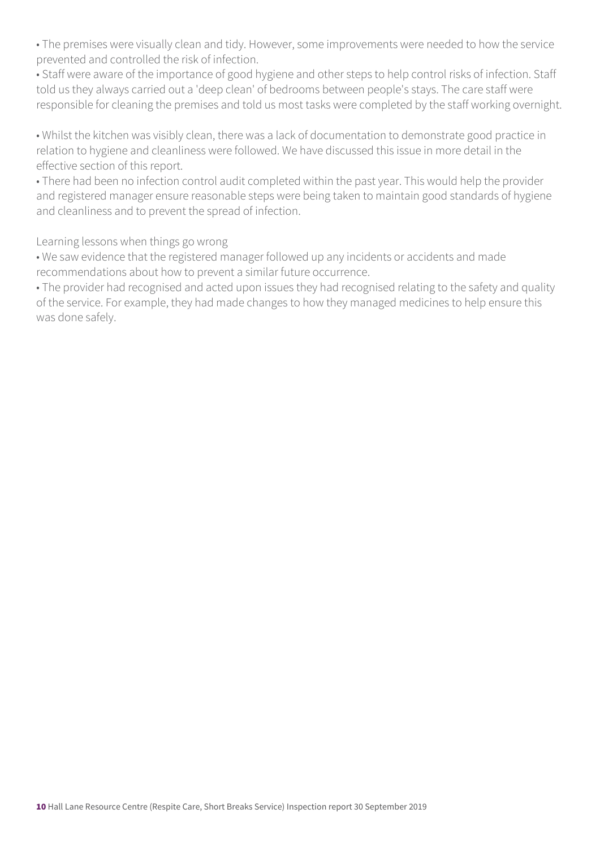• The premises were visually clean and tidy. However, some improvements were needed to how the service prevented and controlled the risk of infection.

• Staff were aware of the importance of good hygiene and other steps to help control risks of infection. Staff told us they always carried out a 'deep clean' of bedrooms between people's stays. The care staff were responsible for cleaning the premises and told us most tasks were completed by the staff working overnight.

• Whilst the kitchen was visibly clean, there was a lack of documentation to demonstrate good practice in relation to hygiene and cleanliness were followed. We have discussed this issue in more detail in the effective section of this report.

• There had been no infection control audit completed within the past year. This would help the provider and registered manager ensure reasonable steps were being taken to maintain good standards of hygiene and cleanliness and to prevent the spread of infection.

Learning lessons when things go wrong

• We saw evidence that the registered manager followed up any incidents or accidents and made recommendations about how to prevent a similar future occurrence.

• The provider had recognised and acted upon issues they had recognised relating to the safety and quality of the service. For example, they had made changes to how they managed medicines to help ensure this was done safely.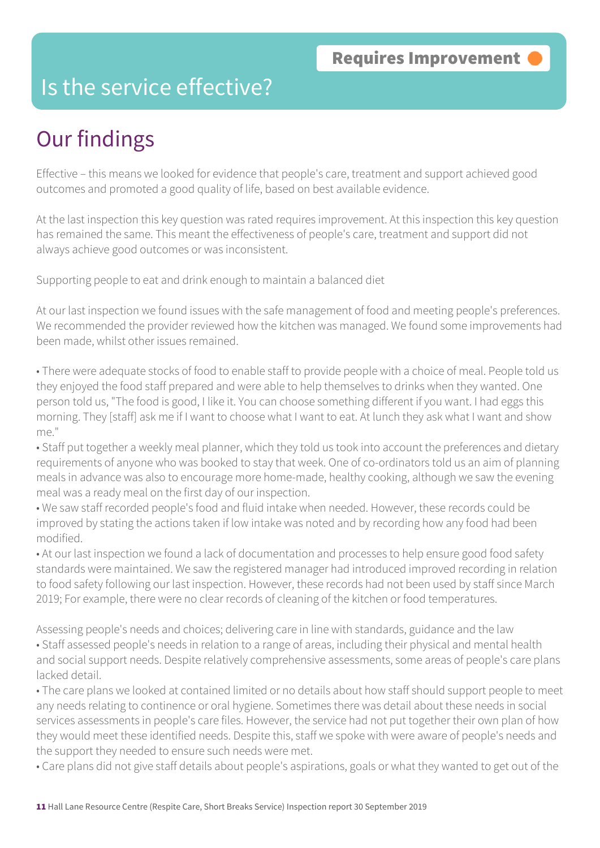### Is the service effective?

# Our findings

Effective – this means we looked for evidence that people's care, treatment and support achieved good outcomes and promoted a good quality of life, based on best available evidence.

At the last inspection this key question was rated requires improvement. At this inspection this key question has remained the same. This meant the effectiveness of people's care, treatment and support did not always achieve good outcomes or was inconsistent.

Supporting people to eat and drink enough to maintain a balanced diet

At our last inspection we found issues with the safe management of food and meeting people's preferences. We recommended the provider reviewed how the kitchen was managed. We found some improvements had been made, whilst other issues remained.

• There were adequate stocks of food to enable staff to provide people with a choice of meal. People told us they enjoyed the food staff prepared and were able to help themselves to drinks when they wanted. One person told us, "The food is good, I like it. You can choose something different if you want. I had eggs this morning. They [staff] ask me if I want to choose what I want to eat. At lunch they ask what I want and show me."

• Staff put together a weekly meal planner, which they told us took into account the preferences and dietary requirements of anyone who was booked to stay that week. One of co-ordinators told us an aim of planning meals in advance was also to encourage more home-made, healthy cooking, although we saw the evening meal was a ready meal on the first day of our inspection.

• We saw staff recorded people's food and fluid intake when needed. However, these records could be improved by stating the actions taken if low intake was noted and by recording how any food had been modified.

• At our last inspection we found a lack of documentation and processes to help ensure good food safety standards were maintained. We saw the registered manager had introduced improved recording in relation to food safety following our last inspection. However, these records had not been used by staff since March 2019; For example, there were no clear records of cleaning of the kitchen or food temperatures.

Assessing people's needs and choices; delivering care in line with standards, guidance and the law • Staff assessed people's needs in relation to a range of areas, including their physical and mental health and social support needs. Despite relatively comprehensive assessments, some areas of people's care plans lacked detail.

• The care plans we looked at contained limited or no details about how staff should support people to meet any needs relating to continence or oral hygiene. Sometimes there was detail about these needs in social services assessments in people's care files. However, the service had not put together their own plan of how they would meet these identified needs. Despite this, staff we spoke with were aware of people's needs and the support they needed to ensure such needs were met.

• Care plans did not give staff details about people's aspirations, goals or what they wanted to get out of the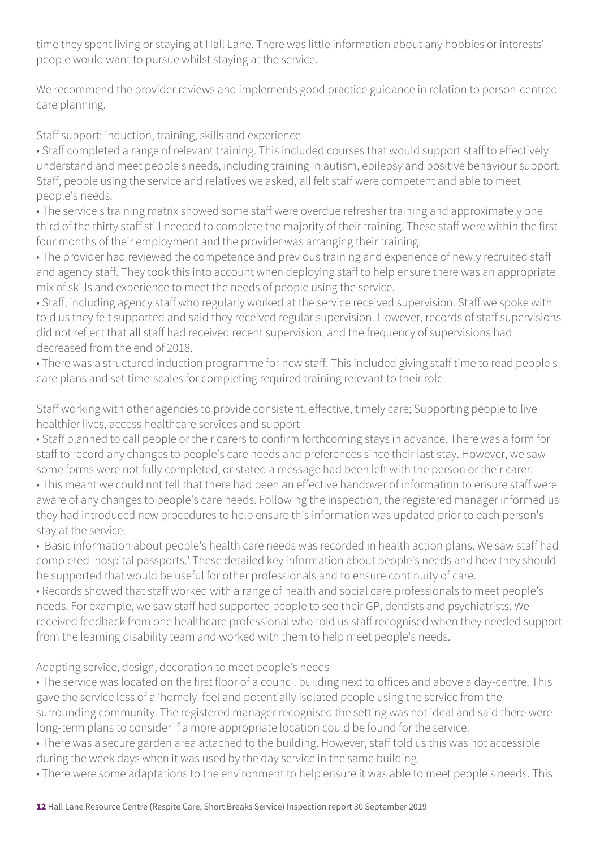time they spent living or staying at Hall Lane. There was little information about any hobbies or interests' people would want to pursue whilst staying at the service.

We recommend the provider reviews and implements good practice guidance in relation to person-centred care planning.

Staff support: induction, training, skills and experience

• Staff completed a range of relevant training. This included courses that would support staff to effectively understand and meet people's needs, including training in autism, epilepsy and positive behaviour support. Staff, people using the service and relatives we asked, all felt staff were competent and able to meet people's needs.

• The service's training matrix showed some staff were overdue refresher training and approximately one third of the thirty staff still needed to complete the majority of their training. These staff were within the first four months of their employment and the provider was arranging their training.

• The provider had reviewed the competence and previous training and experience of newly recruited staff and agency staff. They took this into account when deploying staff to help ensure there was an appropriate mix of skills and experience to meet the needs of people using the service.

• Staff, including agency staff who regularly worked at the service received supervision. Staff we spoke with told us they felt supported and said they received regular supervision. However, records of staff supervisions did not reflect that all staff had received recent supervision, and the frequency of supervisions had decreased from the end of 2018.

• There was a structured induction programme for new staff. This included giving staff time to read people's care plans and set time-scales for completing required training relevant to their role.

Staff working with other agencies to provide consistent, effective, timely care; Supporting people to live healthier lives, access healthcare services and support

• Staff planned to call people or their carers to confirm forthcoming stays in advance. There was a form for staff to record any changes to people's care needs and preferences since their last stay. However, we saw some forms were not fully completed, or stated a message had been left with the person or their carer.

• This meant we could not tell that there had been an effective handover of information to ensure staff were aware of any changes to people's care needs. Following the inspection, the registered manager informed us they had introduced new procedures to help ensure this information was updated prior to each person's stay at the service.

• Basic information about people's health care needs was recorded in health action plans. We saw staff had completed 'hospital passports.' These detailed key information about people's needs and how they should be supported that would be useful for other professionals and to ensure continuity of care.

• Records showed that staff worked with a range of health and social care professionals to meet people's needs. For example, we saw staff had supported people to see their GP, dentists and psychiatrists. We received feedback from one healthcare professional who told us staff recognised when they needed support from the learning disability team and worked with them to help meet people's needs.

Adapting service, design, decoration to meet people's needs

• The service was located on the first floor of a council building next to offices and above a day-centre. This gave the service less of a 'homely' feel and potentially isolated people using the service from the surrounding community. The registered manager recognised the setting was not ideal and said there were long-term plans to consider if a more appropriate location could be found for the service.

• There was a secure garden area attached to the building. However, staff told us this was not accessible during the week days when it was used by the day service in the same building.

• There were some adaptations to the environment to help ensure it was able to meet people's needs. This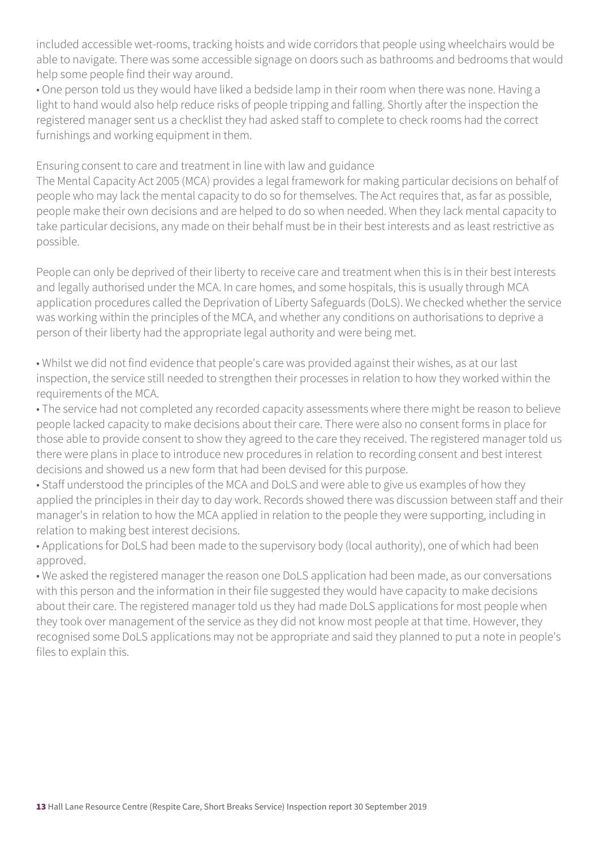included accessible wet-rooms, tracking hoists and wide corridors that people using wheelchairs would be able to navigate. There was some accessible signage on doors such as bathrooms and bedrooms that would help some people find their way around.

• One person told us they would have liked a bedside lamp in their room when there was none. Having a light to hand would also help reduce risks of people tripping and falling. Shortly after the inspection the registered manager sent us a checklist they had asked staff to complete to check rooms had the correct furnishings and working equipment in them.

Ensuring consent to care and treatment in line with law and guidance

The Mental Capacity Act 2005 (MCA) provides a legal framework for making particular decisions on behalf of people who may lack the mental capacity to do so for themselves. The Act requires that, as far as possible, people make their own decisions and are helped to do so when needed. When they lack mental capacity to take particular decisions, any made on their behalf must be in their best interests and as least restrictive as possible.

People can only be deprived of their liberty to receive care and treatment when this is in their best interests and legally authorised under the MCA. In care homes, and some hospitals, this is usually through MCA application procedures called the Deprivation of Liberty Safeguards (DoLS). We checked whether the service was working within the principles of the MCA, and whether any conditions on authorisations to deprive a person of their liberty had the appropriate legal authority and were being met.

• Whilst we did not find evidence that people's care was provided against their wishes, as at our last inspection, the service still needed to strengthen their processes in relation to how they worked within the requirements of the MCA.

• The service had not completed any recorded capacity assessments where there might be reason to believe people lacked capacity to make decisions about their care. There were also no consent forms in place for those able to provide consent to show they agreed to the care they received. The registered manager told us there were plans in place to introduce new procedures in relation to recording consent and best interest decisions and showed us a new form that had been devised for this purpose.

• Staff understood the principles of the MCA and DoLS and were able to give us examples of how they applied the principles in their day to day work. Records showed there was discussion between staff and their manager's in relation to how the MCA applied in relation to the people they were supporting, including in relation to making best interest decisions.

• Applications for DoLS had been made to the supervisory body (local authority), one of which had been approved.

• We asked the registered manager the reason one DoLS application had been made, as our conversations with this person and the information in their file suggested they would have capacity to make decisions about their care. The registered manager told us they had made DoLS applications for most people when they took over management of the service as they did not know most people at that time. However, they recognised some DoLS applications may not be appropriate and said they planned to put a note in people's files to explain this.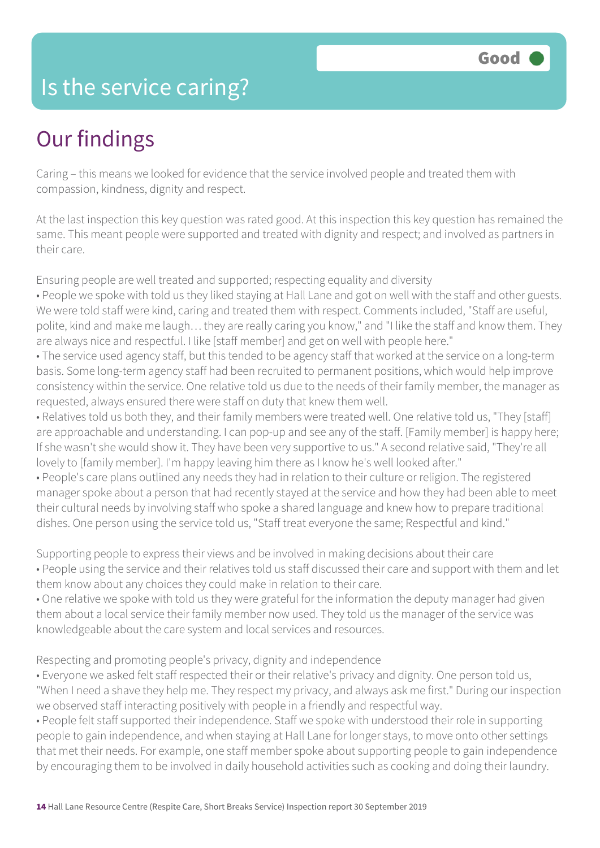### Is the service caring?

## Our findings

Caring – this means we looked for evidence that the service involved people and treated them with compassion, kindness, dignity and respect.

At the last inspection this key question was rated good. At this inspection this key question has remained the same. This meant people were supported and treated with dignity and respect; and involved as partners in their care.

Ensuring people are well treated and supported; respecting equality and diversity

- People we spoke with told us they liked staying at Hall Lane and got on well with the staff and other guests. We were told staff were kind, caring and treated them with respect. Comments included, "Staff are useful, polite, kind and make me laugh… they are really caring you know," and "I like the staff and know them. They are always nice and respectful. I like [staff member] and get on well with people here."
- The service used agency staff, but this tended to be agency staff that worked at the service on a long-term basis. Some long-term agency staff had been recruited to permanent positions, which would help improve consistency within the service. One relative told us due to the needs of their family member, the manager as requested, always ensured there were staff on duty that knew them well.
- Relatives told us both they, and their family members were treated well. One relative told us, "They [staff] are approachable and understanding. I can pop-up and see any of the staff. [Family member] is happy here; If she wasn't she would show it. They have been very supportive to us." A second relative said, "They're all lovely to [family member]. I'm happy leaving him there as I know he's well looked after."
- People's care plans outlined any needs they had in relation to their culture or religion. The registered manager spoke about a person that had recently stayed at the service and how they had been able to meet their cultural needs by involving staff who spoke a shared language and knew how to prepare traditional dishes. One person using the service told us, "Staff treat everyone the same; Respectful and kind."
- Supporting people to express their views and be involved in making decisions about their care • People using the service and their relatives told us staff discussed their care and support with them and let them know about any choices they could make in relation to their care.
- One relative we spoke with told us they were grateful for the information the deputy manager had given them about a local service their family member now used. They told us the manager of the service was knowledgeable about the care system and local services and resources.

Respecting and promoting people's privacy, dignity and independence

- Everyone we asked felt staff respected their or their relative's privacy and dignity. One person told us, "When I need a shave they help me. They respect my privacy, and always ask me first." During our inspection we observed staff interacting positively with people in a friendly and respectful way.
- People felt staff supported their independence. Staff we spoke with understood their role in supporting people to gain independence, and when staying at Hall Lane for longer stays, to move onto other settings that met their needs. For example, one staff member spoke about supporting people to gain independence by encouraging them to be involved in daily household activities such as cooking and doing their laundry.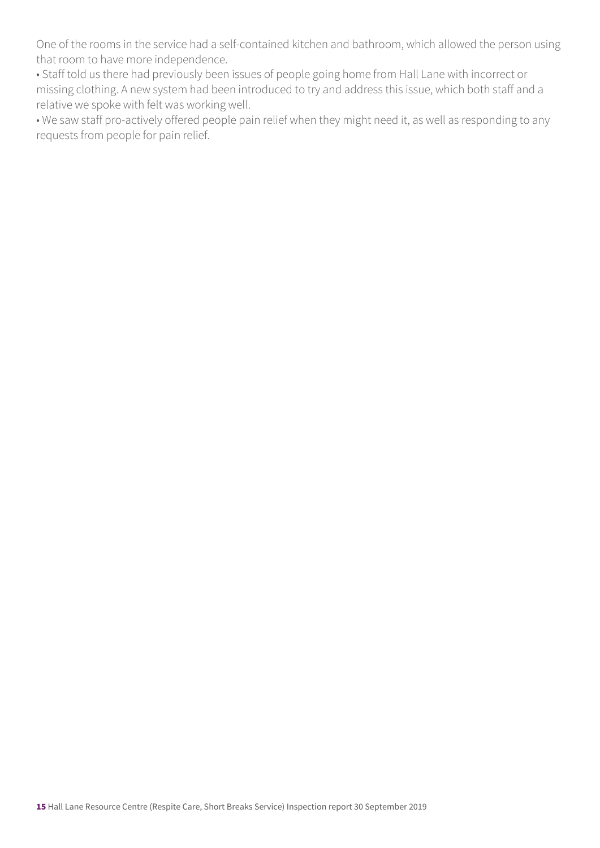One of the rooms in the service had a self-contained kitchen and bathroom, which allowed the person using that room to have more independence.

• Staff told us there had previously been issues of people going home from Hall Lane with incorrect or missing clothing. A new system had been introduced to try and address this issue, which both staff and a relative we spoke with felt was working well.

• We saw staff pro-actively offered people pain relief when they might need it, as well as responding to any requests from people for pain relief.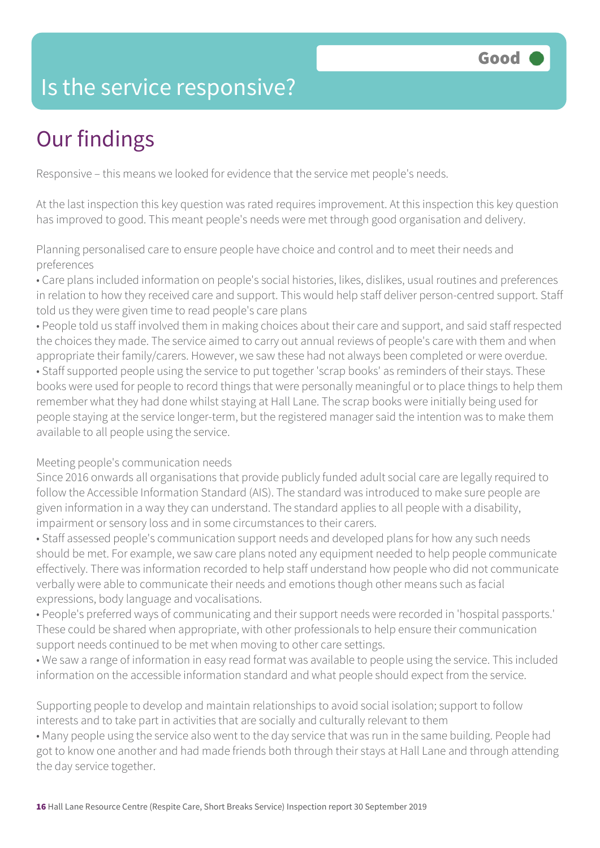## Is the service responsive?

# Our findings

Responsive – this means we looked for evidence that the service met people's needs.

At the last inspection this key question was rated requires improvement. At this inspection this key question has improved to good. This meant people's needs were met through good organisation and delivery.

Planning personalised care to ensure people have choice and control and to meet their needs and preferences

• Care plans included information on people's social histories, likes, dislikes, usual routines and preferences in relation to how they received care and support. This would help staff deliver person-centred support. Staff told us they were given time to read people's care plans

• People told us staff involved them in making choices about their care and support, and said staff respected the choices they made. The service aimed to carry out annual reviews of people's care with them and when appropriate their family/carers. However, we saw these had not always been completed or were overdue. • Staff supported people using the service to put together 'scrap books' as reminders of their stays. These books were used for people to record things that were personally meaningful or to place things to help them remember what they had done whilst staying at Hall Lane. The scrap books were initially being used for people staying at the service longer-term, but the registered manager said the intention was to make them available to all people using the service.

#### Meeting people's communication needs

Since 2016 onwards all organisations that provide publicly funded adult social care are legally required to follow the Accessible Information Standard (AIS). The standard was introduced to make sure people are given information in a way they can understand. The standard applies to all people with a disability, impairment or sensory loss and in some circumstances to their carers.

• Staff assessed people's communication support needs and developed plans for how any such needs should be met. For example, we saw care plans noted any equipment needed to help people communicate effectively. There was information recorded to help staff understand how people who did not communicate verbally were able to communicate their needs and emotions though other means such as facial expressions, body language and vocalisations.

• People's preferred ways of communicating and their support needs were recorded in 'hospital passports.' These could be shared when appropriate, with other professionals to help ensure their communication support needs continued to be met when moving to other care settings.

• We saw a range of information in easy read format was available to people using the service. This included information on the accessible information standard and what people should expect from the service.

Supporting people to develop and maintain relationships to avoid social isolation; support to follow interests and to take part in activities that are socially and culturally relevant to them

• Many people using the service also went to the day service that was run in the same building. People had got to know one another and had made friends both through their stays at Hall Lane and through attending the day service together.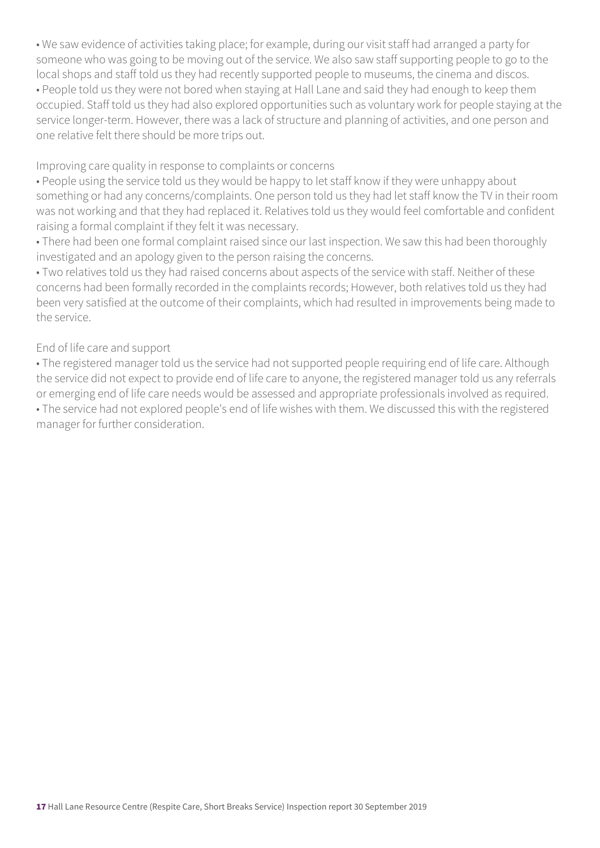• We saw evidence of activities taking place; for example, during our visit staff had arranged a party for someone who was going to be moving out of the service. We also saw staff supporting people to go to the local shops and staff told us they had recently supported people to museums, the cinema and discos.

• People told us they were not bored when staying at Hall Lane and said they had enough to keep them occupied. Staff told us they had also explored opportunities such as voluntary work for people staying at the service longer-term. However, there was a lack of structure and planning of activities, and one person and one relative felt there should be more trips out.

Improving care quality in response to complaints or concerns

• People using the service told us they would be happy to let staff know if they were unhappy about something or had any concerns/complaints. One person told us they had let staff know the TV in their room was not working and that they had replaced it. Relatives told us they would feel comfortable and confident raising a formal complaint if they felt it was necessary.

• There had been one formal complaint raised since our last inspection. We saw this had been thoroughly investigated and an apology given to the person raising the concerns.

• Two relatives told us they had raised concerns about aspects of the service with staff. Neither of these concerns had been formally recorded in the complaints records; However, both relatives told us they had been very satisfied at the outcome of their complaints, which had resulted in improvements being made to the service.

### End of life care and support

• The registered manager told us the service had not supported people requiring end of life care. Although the service did not expect to provide end of life care to anyone, the registered manager told us any referrals or emerging end of life care needs would be assessed and appropriate professionals involved as required. • The service had not explored people's end of life wishes with them. We discussed this with the registered manager for further consideration.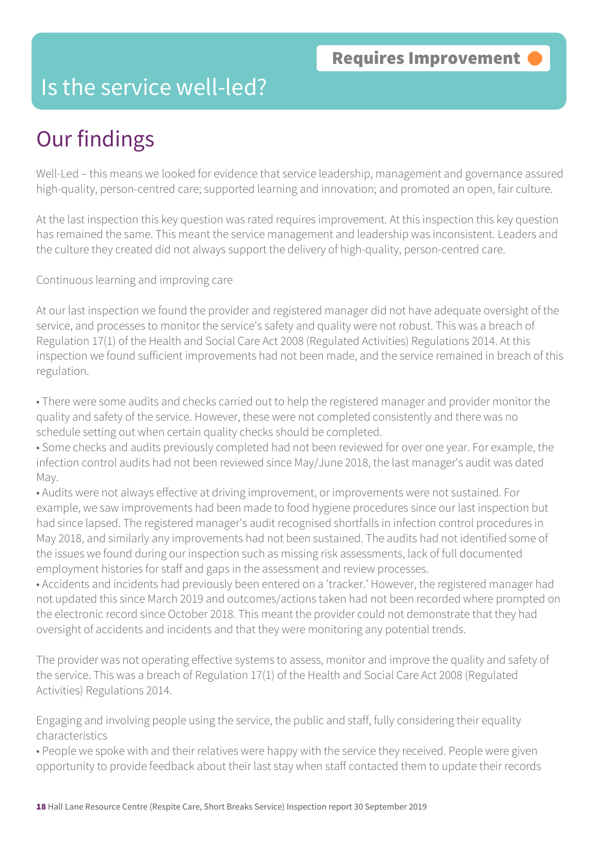### Is the service well-led?

# Our findings

Well-Led – this means we looked for evidence that service leadership, management and governance assured high-quality, person-centred care; supported learning and innovation; and promoted an open, fair culture.

At the last inspection this key question was rated requires improvement. At this inspection this key question has remained the same. This meant the service management and leadership was inconsistent. Leaders and the culture they created did not always support the delivery of high-quality, person-centred care.

Continuous learning and improving care

At our last inspection we found the provider and registered manager did not have adequate oversight of the service, and processes to monitor the service's safety and quality were not robust. This was a breach of Regulation 17(1) of the Health and Social Care Act 2008 (Regulated Activities) Regulations 2014. At this inspection we found sufficient improvements had not been made, and the service remained in breach of this regulation.

• There were some audits and checks carried out to help the registered manager and provider monitor the quality and safety of the service. However, these were not completed consistently and there was no schedule setting out when certain quality checks should be completed.

• Some checks and audits previously completed had not been reviewed for over one year. For example, the infection control audits had not been reviewed since May/June 2018, the last manager's audit was dated May.

• Audits were not always effective at driving improvement, or improvements were not sustained. For example, we saw improvements had been made to food hygiene procedures since our last inspection but had since lapsed. The registered manager's audit recognised shortfalls in infection control procedures in May 2018, and similarly any improvements had not been sustained. The audits had not identified some of the issues we found during our inspection such as missing risk assessments, lack of full documented employment histories for staff and gaps in the assessment and review processes.

• Accidents and incidents had previously been entered on a 'tracker.' However, the registered manager had not updated this since March 2019 and outcomes/actions taken had not been recorded where prompted on the electronic record since October 2018. This meant the provider could not demonstrate that they had oversight of accidents and incidents and that they were monitoring any potential trends.

The provider was not operating effective systems to assess, monitor and improve the quality and safety of the service. This was a breach of Regulation 17(1) of the Health and Social Care Act 2008 (Regulated Activities) Regulations 2014.

Engaging and involving people using the service, the public and staff, fully considering their equality characteristics

• People we spoke with and their relatives were happy with the service they received. People were given opportunity to provide feedback about their last stay when staff contacted them to update their records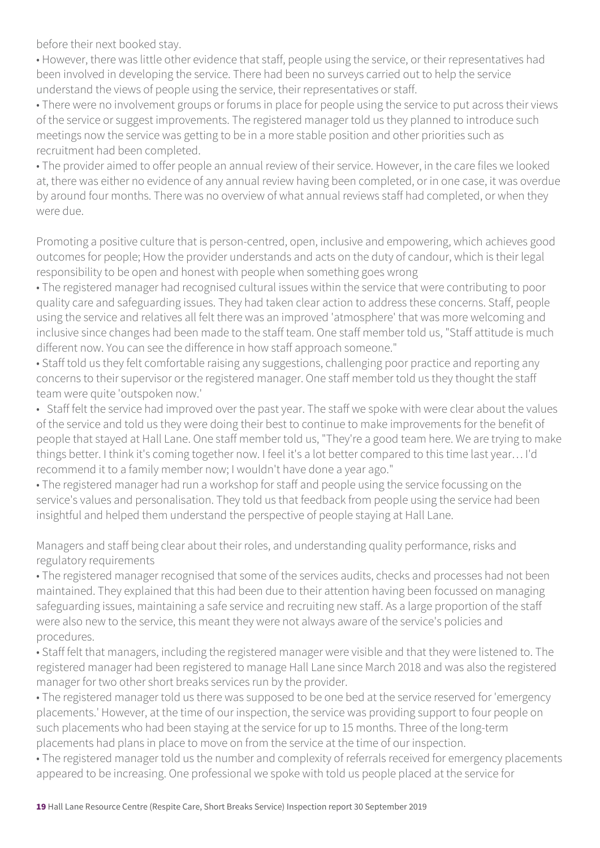before their next booked stay.

• However, there was little other evidence that staff, people using the service, or their representatives had been involved in developing the service. There had been no surveys carried out to help the service understand the views of people using the service, their representatives or staff.

• There were no involvement groups or forums in place for people using the service to put across their views of the service or suggest improvements. The registered manager told us they planned to introduce such meetings now the service was getting to be in a more stable position and other priorities such as recruitment had been completed.

• The provider aimed to offer people an annual review of their service. However, in the care files we looked at, there was either no evidence of any annual review having been completed, or in one case, it was overdue by around four months. There was no overview of what annual reviews staff had completed, or when they were due.

Promoting a positive culture that is person-centred, open, inclusive and empowering, which achieves good outcomes for people; How the provider understands and acts on the duty of candour, which is their legal responsibility to be open and honest with people when something goes wrong

• The registered manager had recognised cultural issues within the service that were contributing to poor quality care and safeguarding issues. They had taken clear action to address these concerns. Staff, people using the service and relatives all felt there was an improved 'atmosphere' that was more welcoming and inclusive since changes had been made to the staff team. One staff member told us, "Staff attitude is much different now. You can see the difference in how staff approach someone."

• Staff told us they felt comfortable raising any suggestions, challenging poor practice and reporting any concerns to their supervisor or the registered manager. One staff member told us they thought the staff team were quite 'outspoken now.'

• Staff felt the service had improved over the past year. The staff we spoke with were clear about the values of the service and told us they were doing their best to continue to make improvements for the benefit of people that stayed at Hall Lane. One staff member told us, "They're a good team here. We are trying to make things better. I think it's coming together now. I feel it's a lot better compared to this time last year… I'd recommend it to a family member now; I wouldn't have done a year ago."

• The registered manager had run a workshop for staff and people using the service focussing on the service's values and personalisation. They told us that feedback from people using the service had been insightful and helped them understand the perspective of people staying at Hall Lane.

Managers and staff being clear about their roles, and understanding quality performance, risks and regulatory requirements

• The registered manager recognised that some of the services audits, checks and processes had not been maintained. They explained that this had been due to their attention having been focussed on managing safeguarding issues, maintaining a safe service and recruiting new staff. As a large proportion of the staff were also new to the service, this meant they were not always aware of the service's policies and procedures.

• Staff felt that managers, including the registered manager were visible and that they were listened to. The registered manager had been registered to manage Hall Lane since March 2018 and was also the registered manager for two other short breaks services run by the provider.

• The registered manager told us there was supposed to be one bed at the service reserved for 'emergency placements.' However, at the time of our inspection, the service was providing support to four people on such placements who had been staying at the service for up to 15 months. Three of the long-term placements had plans in place to move on from the service at the time of our inspection.

• The registered manager told us the number and complexity of referrals received for emergency placements appeared to be increasing. One professional we spoke with told us people placed at the service for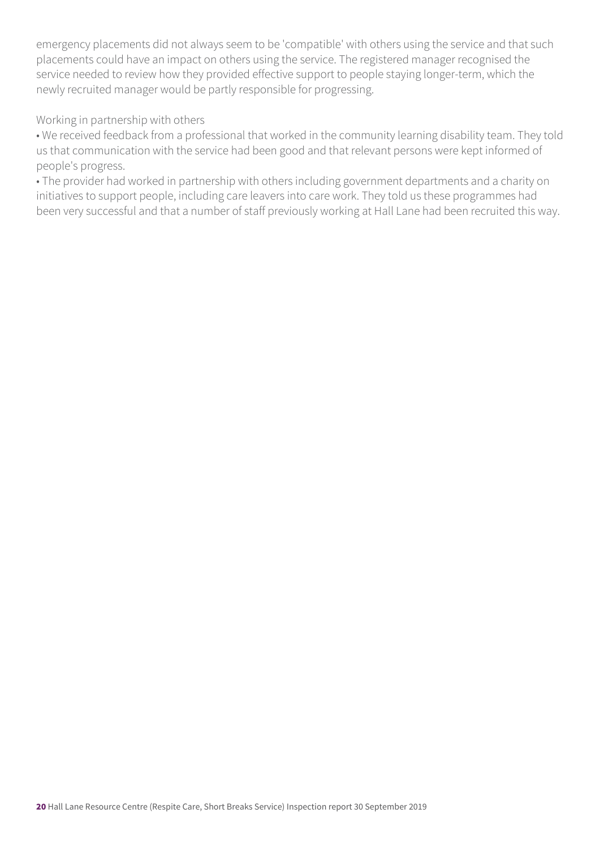emergency placements did not always seem to be 'compatible' with others using the service and that such placements could have an impact on others using the service. The registered manager recognised the service needed to review how they provided effective support to people staying longer-term, which the newly recruited manager would be partly responsible for progressing.

#### Working in partnership with others

• We received feedback from a professional that worked in the community learning disability team. They told us that communication with the service had been good and that relevant persons were kept informed of people's progress.

• The provider had worked in partnership with others including government departments and a charity on initiatives to support people, including care leavers into care work. They told us these programmes had been very successful and that a number of staff previously working at Hall Lane had been recruited this way.